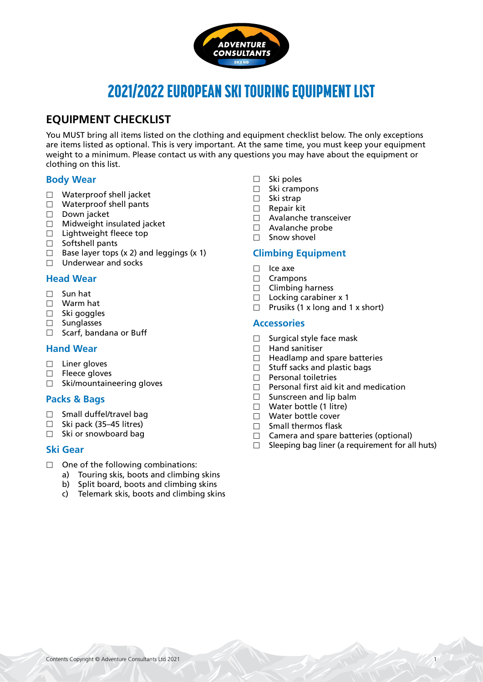

# 2021/2022 EUROPEAN SKI TOURING EQUIPMENT LIST

# **EQUIPMENT CHECKLIST**

You MUST bring all items listed on the clothing and equipment checklist below. The only exceptions are items listed as optional. This is very important. At the same time, you must keep your equipment weight to a minimum. Please contact us with any questions you may have about the equipment or clothing on this list.

# **Body Wear**

- □ Waterproof shell jacket
- $\Box$  Waterproof shell pants
- $\Box$  Down jacket
- $\Box$  Midweight insulated jacket
- $\Box$  Lightweight fleece top
- $\Box$  Softshell pants
- $\Box$  Base layer tops (x 2) and leggings (x 1)
- $\Box$  Underwear and socks

# **Head Wear**

- $\Box$  Sun hat
- Warm hat
- $\square$  Ski goggles
- □ Sunglasses
- $\Box$  Scarf, bandana or Buff

# **Hand Wear**

- $\square$  Liner gloves
- $\Box$  Fleece gloves
- $\square$  Ski/mountaineering gloves

### **Packs & Bags**

- $\Box$  Small duffel/travel bag
- $\Box$  Ski pack (35–45 litres)
- $\Box$  Ski or snowboard bag

# **Ski Gear**

- $\Box$  One of the following combinations:
	- a) Touring skis, boots and climbing skins
	- b) Split board, boots and climbing skins
	- c) Telemark skis, boots and climbing skins
- $\Box$  Ski poles
- $\Box$  Ski crampons
- $\Box$  Ski strap
- □ Repair kit
- Avalanche transceiver
- Avalanche probe
- $\Box$  Snow shovel

# **Climbing Equipment**

- $\Box$  Ice axe
- 
- $\Box$  Crampons<br> $\Box$  Climbing h Climbing harness
- $\Box$  Locking carabiner x 1
- $\Box$  Prusiks (1 x long and 1 x short)

### **Accessories**

- $\Box$  Surgical style face mask
- $\Box$  Hand sanitiser
- $\Box$  Headlamp and spare batteries
- $\Box$  Stuff sacks and plastic bags
- $\Box$  Personal toiletries
- $\Box$  Personal first aid kit and medication
- $\Box$  Sunscreen and lip balm
- $\Box$  Water bottle (1 litre)
- Water bottle cover
- $\Box$  Small thermos flask
- $\Box$  Camera and spare batteries (optional)<br> $\Box$  Sleeping bag liner (a requirement for all
- Sleeping bag liner (a requirement for all huts)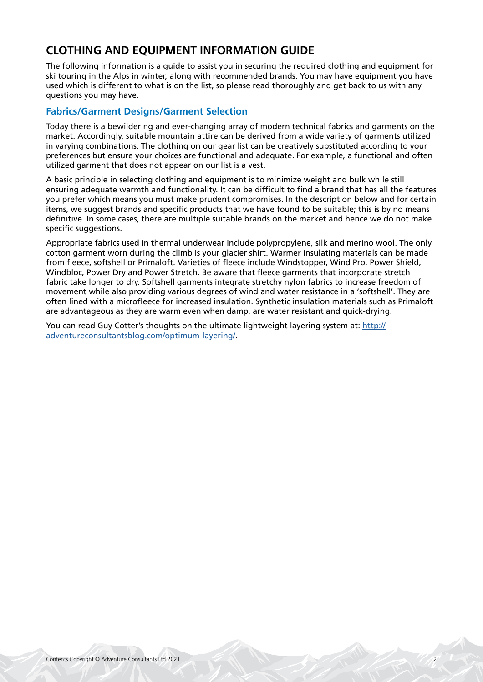# **CLOTHING AND EQUIPMENT INFORMATION GUIDE**

The following information is a guide to assist you in securing the required clothing and equipment for ski touring in the Alps in winter, along with recommended brands. You may have equipment you have used which is different to what is on the list, so please read thoroughly and get back to us with any questions you may have.

# **Fabrics/Garment Designs/Garment Selection**

Today there is a bewildering and ever-changing array of modern technical fabrics and garments on the market. Accordingly, suitable mountain attire can be derived from a wide variety of garments utilized in varying combinations. The clothing on our gear list can be creatively substituted according to your preferences but ensure your choices are functional and adequate. For example, a functional and often utilized garment that does not appear on our list is a vest.

A basic principle in selecting clothing and equipment is to minimize weight and bulk while still ensuring adequate warmth and functionality. It can be difficult to find a brand that has all the features you prefer which means you must make prudent compromises. In the description below and for certain items, we suggest brands and specific products that we have found to be suitable; this is by no means definitive. In some cases, there are multiple suitable brands on the market and hence we do not make specific suggestions.

Appropriate fabrics used in thermal underwear include polypropylene, silk and merino wool. The only cotton garment worn during the climb is your glacier shirt. Warmer insulating materials can be made from fleece, softshell or Primaloft. Varieties of fleece include Windstopper, Wind Pro, Power Shield, Windbloc, Power Dry and Power Stretch. Be aware that fleece garments that incorporate stretch fabric take longer to dry. Softshell garments integrate stretchy nylon fabrics to increase freedom of movement while also providing various degrees of wind and water resistance in a 'softshell'. They are often lined with a microfleece for increased insulation. Synthetic insulation materials such as Primaloft are advantageous as they are warm even when damp, are water resistant and quick-drying.

You can read Guy Cotter's thoughts on the ultimate lightweight layering system at: [http://](http://adventureconsultantsblog.com/optimum-layering/) [adventureconsultantsblog.com/optimum-layering/](http://adventureconsultantsblog.com/optimum-layering/).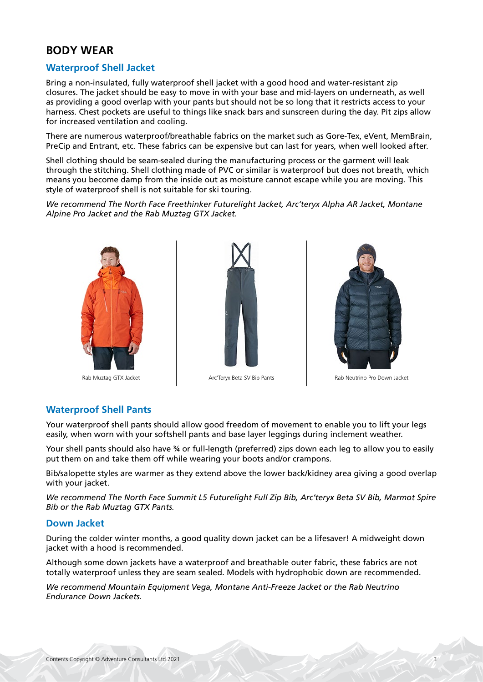# **BODY WEAR**

# **Waterproof Shell Jacket**

Bring a non-insulated, fully waterproof shell jacket with a good hood and water-resistant zip closures. The jacket should be easy to move in with your base and mid-layers on underneath, as well as providing a good overlap with your pants but should not be so long that it restricts access to your harness. Chest pockets are useful to things like snack bars and sunscreen during the day. Pit zips allow for increased ventilation and cooling.

There are numerous waterproof/breathable fabrics on the market such as Gore-Tex, eVent, MemBrain, PreCip and Entrant, etc. These fabrics can be expensive but can last for years, when well looked after.

Shell clothing should be seam-sealed during the manufacturing process or the garment will leak through the stitching. Shell clothing made of PVC or similar is waterproof but does not breath, which means you become damp from the inside out as moisture cannot escape while you are moving. This style of waterproof shell is not suitable for ski touring.

*We recommend The North Face Freethinker Futurelight Jacket, Arc'teryx Alpha AR Jacket, Montane Alpine Pro Jacket and the Rab Muztag GTX Jacket.*







Rab Muztag GTX Jacket Arc'Teryx Beta SV Bib Pants Rab Neutrino Pro Down Jacket

# **Waterproof Shell Pants**

Your waterproof shell pants should allow good freedom of movement to enable you to lift your legs easily, when worn with your softshell pants and base layer leggings during inclement weather.

Your shell pants should also have ¾ or full-length (preferred) zips down each leg to allow you to easily put them on and take them off while wearing your boots and/or crampons.

Bib/salopette styles are warmer as they extend above the lower back/kidney area giving a good overlap with your jacket.

*We recommend The North Face Summit L5 Futurelight Full Zip Bib, Arc'teryx Beta SV Bib, Marmot Spire Bib or the Rab Muztag GTX Pants.*

### **Down Jacket**

During the colder winter months, a good quality down jacket can be a lifesaver! A midweight down jacket with a hood is recommended.

Although some down jackets have a waterproof and breathable outer fabric, these fabrics are not totally waterproof unless they are seam sealed. Models with hydrophobic down are recommended.

*We recommend Mountain Equipment Vega, Montane Anti-Freeze Jacket or the Rab Neutrino Endurance Down Jackets.*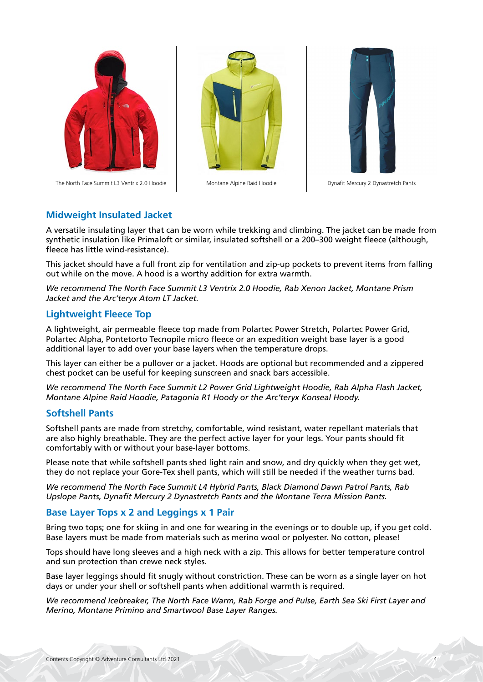

The North Face Summit L3 Ventrix 2.0 Hoodie Montane Alpine Raid Hoodie Dynafit Mercury 2 Dynastretch Pants





### **Midweight Insulated Jacket**

A versatile insulating layer that can be worn while trekking and climbing. The jacket can be made from synthetic insulation like Primaloft or similar, insulated softshell or a 200–300 weight fleece (although, fleece has little wind-resistance).

This jacket should have a full front zip for ventilation and zip-up pockets to prevent items from falling out while on the move. A hood is a worthy addition for extra warmth.

*We recommend The North Face Summit L3 Ventrix 2.0 Hoodie, Rab Xenon Jacket, Montane Prism Jacket and the Arc'teryx Atom LT Jacket.*

### **Lightweight Fleece Top**

A lightweight, air permeable fleece top made from Polartec Power Stretch, Polartec Power Grid, Polartec Alpha, Pontetorto Tecnopile micro fleece or an expedition weight base layer is a good additional layer to add over your base layers when the temperature drops.

This layer can either be a pullover or a jacket. Hoods are optional but recommended and a zippered chest pocket can be useful for keeping sunscreen and snack bars accessible.

*We recommend The North Face Summit L2 Power Grid Lightweight Hoodie, Rab Alpha Flash Jacket, Montane Alpine Raid Hoodie, Patagonia R1 Hoody or the Arc'teryx Konseal Hoody.*

### **Softshell Pants**

Softshell pants are made from stretchy, comfortable, wind resistant, water repellant materials that are also highly breathable. They are the perfect active layer for your legs. Your pants should fit comfortably with or without your base-layer bottoms.

Please note that while softshell pants shed light rain and snow, and dry quickly when they get wet, they do not replace your Gore-Tex shell pants, which will still be needed if the weather turns bad.

*We recommend The North Face Summit L4 Hybrid Pants, Black Diamond Dawn Patrol Pants, Rab Upslope Pants, Dynafit Mercury 2 Dynastretch Pants and the Montane Terra Mission Pants.*

### **Base Layer Tops x 2 and Leggings x 1 Pair**

Bring two tops; one for skiing in and one for wearing in the evenings or to double up, if you get cold. Base layers must be made from materials such as merino wool or polyester. No cotton, please!

Tops should have long sleeves and a high neck with a zip. This allows for better temperature control and sun protection than crewe neck styles.

Base layer leggings should fit snugly without constriction. These can be worn as a single layer on hot days or under your shell or softshell pants when additional warmth is required.

*We recommend Icebreaker, The North Face Warm, Rab Forge and Pulse, Earth Sea Ski First Layer and Merino, Montane Primino and Smartwool Base Layer Ranges.*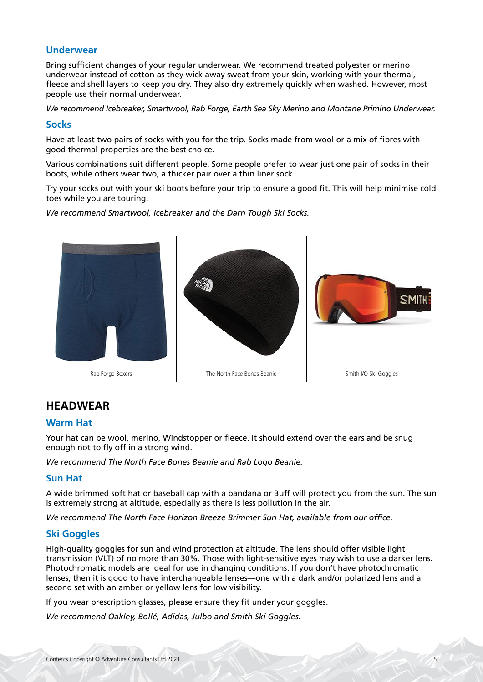### **Underwear**

Bring sufficient changes of your regular underwear. We recommend treated polyester or merino underwear instead of cotton as they wick away sweat from your skin, working with your thermal, fleece and shell layers to keep you dry. They also dry extremely quickly when washed. However, most people use their normal underwear.

*We recommend Icebreaker, Smartwool, Rab Forge, Earth Sea Sky Merino and Montane Primino Underwear.*

#### **Socks**

Have at least two pairs of socks with you for the trip. Socks made from wool or a mix of fibres with good thermal properties are the best choice.

Various combinations suit different people. Some people prefer to wear just one pair of socks in their boots, while others wear two; a thicker pair over a thin liner sock.

Try your socks out with your ski boots before your trip to ensure a good fit. This will help minimise cold toes while you are touring.

*We recommend Smartwool, Icebreaker and the Darn Tough Ski Socks.*



# **HEADWEAR**

### **Warm Hat**

Your hat can be wool, merino, Windstopper or fleece. It should extend over the ears and be snug enough not to fly off in a strong wind.

*We recommend The North Face Bones Beanie and Rab Logo Beanie.*

### **Sun Hat**

A wide brimmed soft hat or baseball cap with a bandana or Buff will protect you from the sun. The sun is extremely strong at altitude, especially as there is less pollution in the air.

*We recommend The North Face Horizon Breeze Brimmer Sun Hat, available from our office.*

# **Ski Goggles**

High-quality goggles for sun and wind protection at altitude. The lens should offer visible light transmission (VLT) of no more than 30%. Those with light-sensitive eyes may wish to use a darker lens. Photochromatic models are ideal for use in changing conditions. If you don't have photochromatic lenses, then it is good to have interchangeable lenses—one with a dark and/or polarized lens and a second set with an amber or yellow lens for low visibility.

If you wear prescription glasses, please ensure they fit under your goggles.

*We recommend Oakley, Bollé, Adidas, Julbo and Smith Ski Goggles.*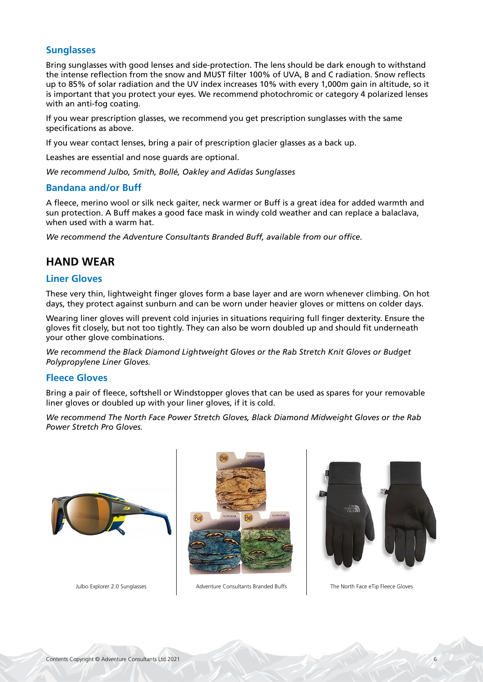### **Sunglasses**

Bring sunglasses with good lenses and side-protection. The lens should be dark enough to withstand the intense reflection from the snow and MUST filter 100% of UVA, B and C radiation. Snow reflects up to 85% of solar radiation and the UV index increases 10% with every 1,000m gain in altitude, so it is important that you protect your eyes. We recommend photochromic or category 4 polarized lenses with an anti-fog coating.

If you wear prescription glasses, we recommend you get prescription sunglasses with the same specifications as above.

If you wear contact lenses, bring a pair of prescription glacier glasses as a back up.

Leashes are essential and nose guards are optional.

*We recommend Julbo, Smith, Bollé, Oakley and Adidas Sunglasses*

### **Bandana and/or Buff**

A fleece, merino wool or silk neck gaiter, neck warmer or Buff is a great idea for added warmth and sun protection. A Buff makes a good face mask in windy cold weather and can replace a balaclava, when used with a warm hat.

*We recommend the Adventure Consultants Branded Buff, available from our office.*

# **HAND WEAR**

#### **Liner Gloves**

These very thin, lightweight finger gloves form a base layer and are worn whenever climbing. On hot days, they protect against sunburn and can be worn under heavier gloves or mittens on colder days.

Wearing liner gloves will prevent cold injuries in situations requiring full finger dexterity. Ensure the gloves fit closely, but not too tightly. They can also be worn doubled up and should fit underneath your other glove combinations.

*We recommend the Black Diamond Lightweight Gloves or the Rab Stretch Knit Gloves or Budget Polypropylene Liner Gloves.*

### **Fleece Gloves**

Bring a pair of fleece, softshell or Windstopper gloves that can be used as spares for your removable liner gloves or doubled up with your liner gloves, if it is cold.

*We recommend The North Face Power Stretch Gloves, Black Diamond Midweight Gloves or the Rab Power Stretch Pro Gloves.*







Julbo Explorer 2.0 Sunglasses Adventure Consultants Branded Buffs The North Face eTip Fleece Gloves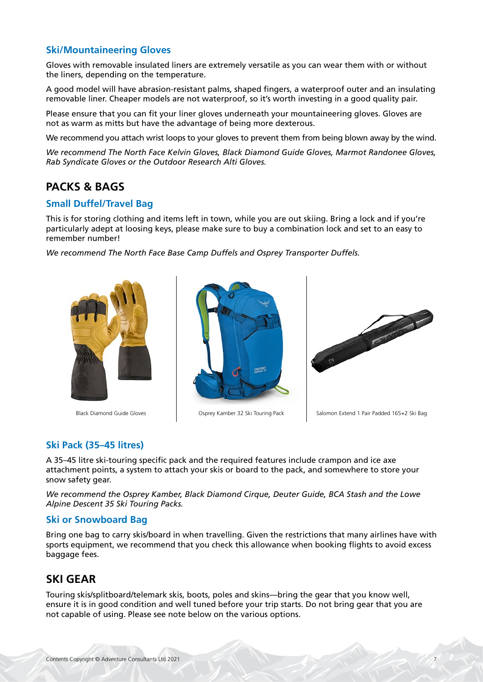# **Ski/Mountaineering Gloves**

Gloves with removable insulated liners are extremely versatile as you can wear them with or without the liners, depending on the temperature.

A good model will have abrasion-resistant palms, shaped fingers, a waterproof outer and an insulating removable liner. Cheaper models are not waterproof, so it's worth investing in a good quality pair.

Please ensure that you can fit your liner gloves underneath your mountaineering gloves. Gloves are not as warm as mitts but have the advantage of being more dexterous.

We recommend you attach wrist loops to your gloves to prevent them from being blown away by the wind.

*We recommend The North Face Kelvin Gloves, Black Diamond Guide Gloves, Marmot Randonee Gloves, Rab Syndicate Gloves or the Outdoor Research Alti Gloves.*

# **PACKS & BAGS**

#### **Small Duffel/Travel Bag**

This is for storing clothing and items left in town, while you are out skiing. Bring a lock and if you're particularly adept at loosing keys, please make sure to buy a combination lock and set to an easy to remember number!

*We recommend The North Face Base Camp Duffels and Osprey Transporter Duffels.*







Black Diamond Guide Gloves **Osprey Kamber 32 Ski Touring Pack** Salomon Extend 1 Pair Padded 165+2 Ski Bag

# **Ski Pack (35–45 litres)**

A 35–45 litre ski-touring specific pack and the required features include crampon and ice axe attachment points, a system to attach your skis or board to the pack, and somewhere to store your snow safety gear.

*We recommend the Osprey Kamber, Black Diamond Cirque, Deuter Guide, BCA Stash and the Lowe Alpine Descent 35 Ski Touring Packs.*

#### **Ski or Snowboard Bag**

Bring one bag to carry skis/board in when travelling. Given the restrictions that many airlines have with sports equipment, we recommend that you check this allowance when booking flights to avoid excess baggage fees.

# **SKI GEAR**

Touring skis/splitboard/telemark skis, boots, poles and skins—bring the gear that you know well, ensure it is in good condition and well tuned before your trip starts. Do not bring gear that you are not capable of using. Please see note below on the various options.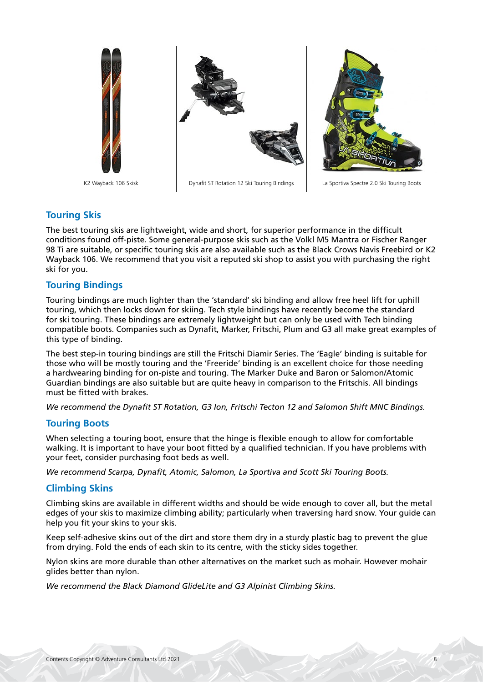

# **Touring Skis**

The best touring skis are lightweight, wide and short, for superior performance in the difficult conditions found off-piste. Some general-purpose skis such as the Volkl M5 Mantra or Fischer Ranger 98 Ti are suitable, or specific touring skis are also available such as the Black Crows Navis Freebird or K2 Wayback 106. We recommend that you visit a reputed ski shop to assist you with purchasing the right ski for you.

# **Touring Bindings**

Touring bindings are much lighter than the 'standard' ski binding and allow free heel lift for uphill touring, which then locks down for skiing. Tech style bindings have recently become the standard for ski touring. These bindings are extremely lightweight but can only be used with Tech binding compatible boots. Companies such as Dynafit, Marker, Fritschi, Plum and G3 all make great examples of this type of binding.

The best step-in touring bindings are still the Fritschi Diamir Series. The 'Eagle' binding is suitable for those who will be mostly touring and the 'Freeride' binding is an excellent choice for those needing a hardwearing binding for on-piste and touring. The Marker Duke and Baron or Salomon/Atomic Guardian bindings are also suitable but are quite heavy in comparison to the Fritschis. All bindings must be fitted with brakes.

*We recommend the Dynafit ST Rotation, G3 Ion, Fritschi Tecton 12 and Salomon Shift MNC Bindings.*

# **Touring Boots**

When selecting a touring boot, ensure that the hinge is flexible enough to allow for comfortable walking. It is important to have your boot fitted by a qualified technician. If you have problems with your feet, consider purchasing foot beds as well.

*We recommend Scarpa, Dynafit, Atomic, Salomon, La Sportiva and Scott Ski Touring Boots.*

# **Climbing Skins**

Climbing skins are available in different widths and should be wide enough to cover all, but the metal edges of your skis to maximize climbing ability; particularly when traversing hard snow. Your guide can help you fit your skins to your skis.

Keep self-adhesive skins out of the dirt and store them dry in a sturdy plastic bag to prevent the glue from drying. Fold the ends of each skin to its centre, with the sticky sides together.

Nylon skins are more durable than other alternatives on the market such as mohair. However mohair glides better than nylon.

*We recommend the Black Diamond GlideLite and G3 Alpinist Climbing Skins.*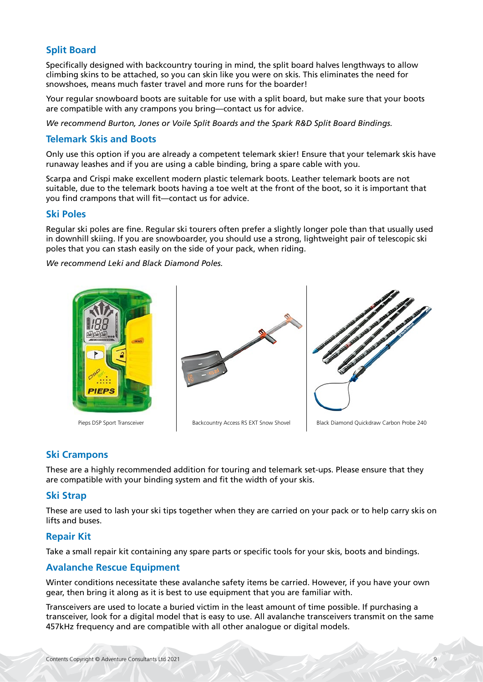# **Split Board**

Specifically designed with backcountry touring in mind, the split board halves lengthways to allow climbing skins to be attached, so you can skin like you were on skis. This eliminates the need for snowshoes, means much faster travel and more runs for the boarder!

Your regular snowboard boots are suitable for use with a split board, but make sure that your boots are compatible with any crampons you bring—contact us for advice.

*We recommend Burton, Jones or Voile Split Boards and the Spark R&D Split Board Bindings.*

### **Telemark Skis and Boots**

Only use this option if you are already a competent telemark skier! Ensure that your telemark skis have runaway leashes and if you are using a cable binding, bring a spare cable with you.

Scarpa and Crispi make excellent modern plastic telemark boots. Leather telemark boots are not suitable, due to the telemark boots having a toe welt at the front of the boot, so it is important that you find crampons that will fit—contact us for advice.

#### **Ski Poles**

Regular ski poles are fine. Regular ski tourers often prefer a slightly longer pole than that usually used in downhill skiing. If you are snowboarder, you should use a strong, lightweight pair of telescopic ski poles that you can stash easily on the side of your pack, when riding.

*We recommend Leki and Black Diamond Poles.*





Pieps DSP Sport Transceiver **Backcountry Access RS EXT Snow Shovel** Black Diamond Quickdraw Carbon Probe 240

# **Ski Crampons**

These are a highly recommended addition for touring and telemark set-ups. Please ensure that they are compatible with your binding system and fit the width of your skis.

### **Ski Strap**

These are used to lash your ski tips together when they are carried on your pack or to help carry skis on lifts and buses.

### **Repair Kit**

Take a small repair kit containing any spare parts or specific tools for your skis, boots and bindings.

### **Avalanche Rescue Equipment**

Winter conditions necessitate these avalanche safety items be carried. However, if you have your own gear, then bring it along as it is best to use equipment that you are familiar with.

Transceivers are used to locate a buried victim in the least amount of time possible. If purchasing a transceiver, look for a digital model that is easy to use. All avalanche transceivers transmit on the same 457kHz frequency and are compatible with all other analogue or digital models.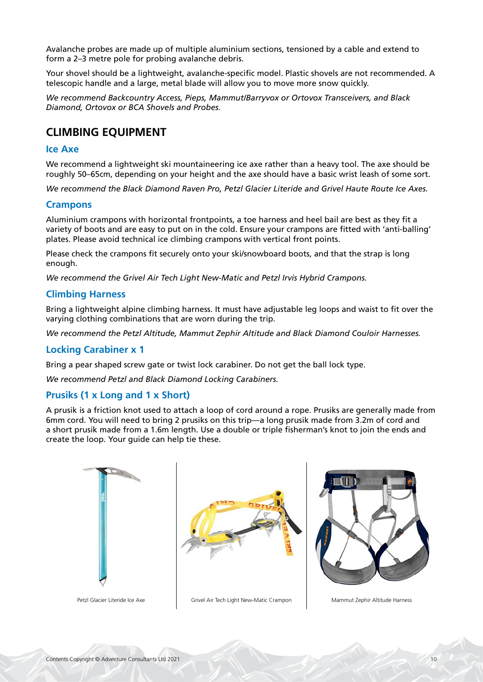Avalanche probes are made up of multiple aluminium sections, tensioned by a cable and extend to form a 2–3 metre pole for probing avalanche debris.

Your shovel should be a lightweight, avalanche-specific model. Plastic shovels are not recommended. A telescopic handle and a large, metal blade will allow you to move more snow quickly.

*We recommend Backcountry Access, Pieps, Mammut/Barryvox or Ortovox Transceivers, and Black Diamond, Ortovox or BCA Shovels and Probes.*

# **CLIMBING EQUIPMENT**

#### **Ice Axe**

We recommend a lightweight ski mountaineering ice axe rather than a heavy tool. The axe should be roughly 50–65cm, depending on your height and the axe should have a basic wrist leash of some sort.

*We recommend the Black Diamond Raven Pro, Petzl Glacier Literide and Grivel Haute Route Ice Axes.*

### **Crampons**

Aluminium crampons with horizontal frontpoints, a toe harness and heel bail are best as they fit a variety of boots and are easy to put on in the cold. Ensure your crampons are fitted with 'anti-balling' plates. Please avoid technical ice climbing crampons with vertical front points.

Please check the crampons fit securely onto your ski/snowboard boots, and that the strap is long enough.

*We recommend the Grivel Air Tech Light New-Matic and Petzl Irvis Hybrid Crampons.*

### **Climbing Harness**

Bring a lightweight alpine climbing harness. It must have adjustable leg loops and waist to fit over the varying clothing combinations that are worn during the trip.

*We recommend the Petzl Altitude, Mammut Zephir Altitude and Black Diamond Couloir Harnesses.*

### **Locking Carabiner x 1**

Bring a pear shaped screw gate or twist lock carabiner. Do not get the ball lock type.

*We recommend Petzl and Black Diamond Locking Carabiners.*

### **Prusiks (1 x Long and 1 x Short)**

A prusik is a friction knot used to attach a loop of cord around a rope. Prusiks are generally made from 6mm cord. You will need to bring 2 prusiks on this trip—a long prusik made from 3.2m of cord and a short prusik made from a 1.6m length. Use a double or triple fisherman's knot to join the ends and create the loop. Your guide can help tie these.







Petzl Glacier Literide Ice Axe Grivel Air Tech Light New-Matic Crampon Mammut Zephir Altitude Harness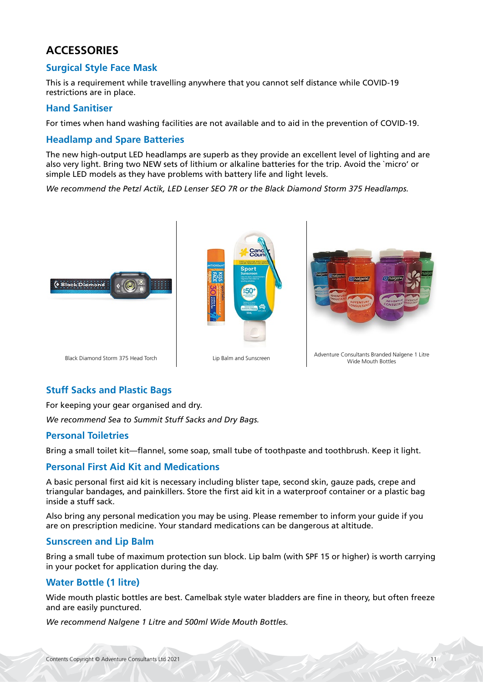# **ACCESSORIES**

# **Surgical Style Face Mask**

This is a requirement while travelling anywhere that you cannot self distance while COVID-19 restrictions are in place.

### **Hand Sanitiser**

For times when hand washing facilities are not available and to aid in the prevention of COVID-19.

### **Headlamp and Spare Batteries**

The new high-output LED headlamps are superb as they provide an excellent level of lighting and are also very light. Bring two NEW sets of lithium or alkaline batteries for the trip. Avoid the `micro' or simple LED models as they have problems with battery life and light levels.

*We recommend the Petzl Actik, LED Lenser SEO 7R or the Black Diamond Storm 375 Headlamps.*



# **Stuff Sacks and Plastic Bags**

For keeping your gear organised and dry.

*We recommend Sea to Summit Stuff Sacks and Dry Bags.*

### **Personal Toiletries**

Bring a small toilet kit—flannel, some soap, small tube of toothpaste and toothbrush. Keep it light.

### **Personal First Aid Kit and Medications**

A basic personal first aid kit is necessary including blister tape, second skin, gauze pads, crepe and triangular bandages, and painkillers. Store the first aid kit in a waterproof container or a plastic bag inside a stuff sack.

Also bring any personal medication you may be using. Please remember to inform your guide if you are on prescription medicine. Your standard medications can be dangerous at altitude.

### **Sunscreen and Lip Balm**

Bring a small tube of maximum protection sun block. Lip balm (with SPF 15 or higher) is worth carrying in your pocket for application during the day.

# **Water Bottle (1 litre)**

Wide mouth plastic bottles are best. Camelbak style water bladders are fine in theory, but often freeze and are easily punctured.

*We recommend Nalgene 1 Litre and 500ml Wide Mouth Bottles.*